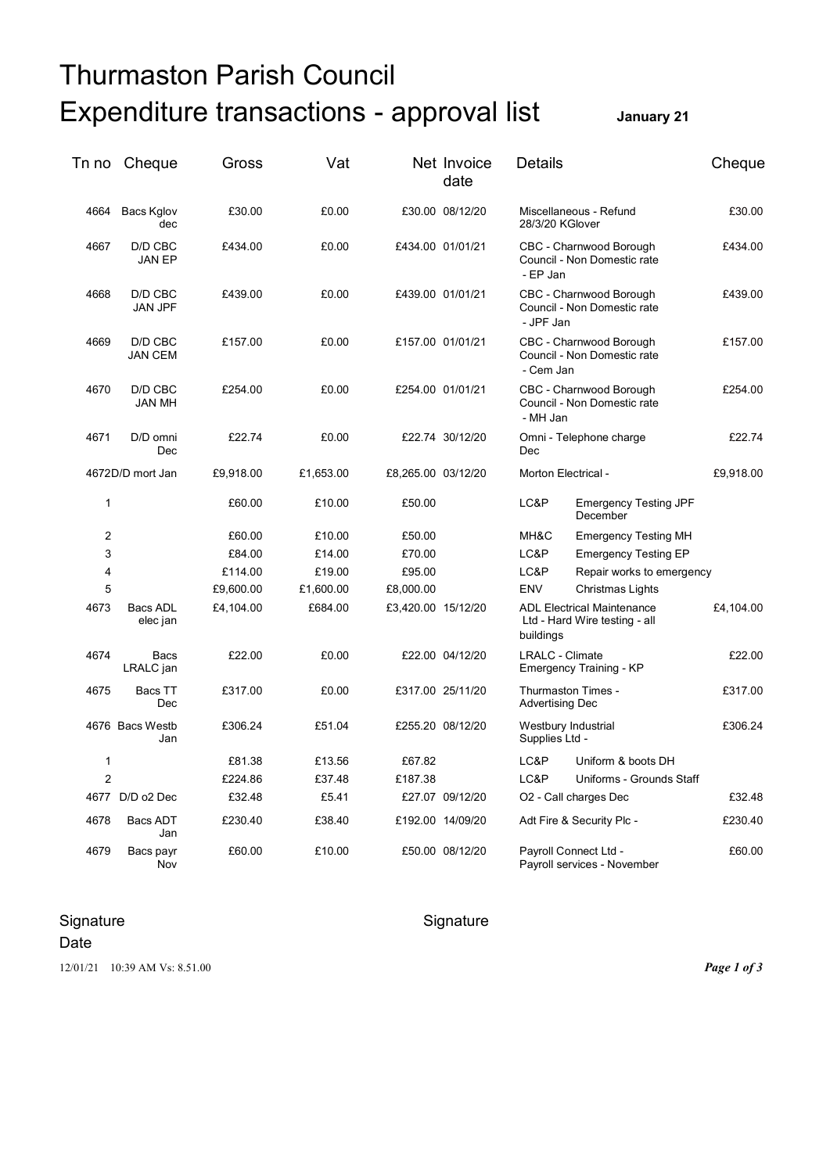## Thurmaston Parish Council Expenditure transactions - approval list **January 21**

| Tn no          | Cheque                    | Gross     | Vat       |                    | Net Invoice<br>date | <b>Details</b>                 |                                                                     | Cheque    |
|----------------|---------------------------|-----------|-----------|--------------------|---------------------|--------------------------------|---------------------------------------------------------------------|-----------|
| 4664           | Bacs Kglov<br>dec         | £30.00    | £0.00     |                    | £30.00 08/12/20     |                                | Miscellaneous - Refund<br>28/3/20 KGlover                           |           |
| 4667           | D/D CBC<br><b>JAN EP</b>  | £434.00   | £0.00     |                    | £434.00 01/01/21    |                                | CBC - Charnwood Borough<br>Council - Non Domestic rate<br>- EP Jan  |           |
| 4668           | D/D CBC<br><b>JAN JPF</b> | £439.00   | £0.00     |                    | £439.00 01/01/21    |                                | CBC - Charnwood Borough<br>Council - Non Domestic rate<br>- JPF Jan |           |
| 4669           | D/D CBC<br><b>JAN CEM</b> | £157.00   | £0.00     |                    | £157.00 01/01/21    |                                | CBC - Charnwood Borough<br>Council - Non Domestic rate<br>- Cem Jan |           |
| 4670           | D/D CBC<br><b>JAN MH</b>  | £254.00   | £0.00     |                    | £254.00 01/01/21    |                                | CBC - Charnwood Borough<br>Council - Non Domestic rate<br>- MH Jan  |           |
| 4671           | D/D omni<br>Dec           | £22.74    | £0.00     |                    | £22.74 30/12/20     | Omni - Telephone charge<br>Dec |                                                                     | £22.74    |
|                | 4672D/D mort Jan          | £9,918.00 | £1,653.00 | £8,265.00 03/12/20 |                     | Morton Electrical -            |                                                                     | £9,918.00 |
| $\mathbf{1}$   |                           | £60.00    | £10.00    | £50.00             |                     | LC&P                           | <b>Emergency Testing JPF</b><br>December                            |           |
| $\overline{2}$ |                           | £60.00    | £10.00    | £50.00             |                     | MH&C                           | <b>Emergency Testing MH</b>                                         |           |
| 3              |                           | £84.00    | £14.00    | £70.00             |                     | LC&P                           | <b>Emergency Testing EP</b>                                         |           |
| $\overline{4}$ |                           | £114.00   | £19.00    | £95.00             |                     | LC&P                           | Repair works to emergency                                           |           |
| 5              |                           | £9,600.00 | £1,600.00 | £8,000.00          |                     | <b>ENV</b>                     | Christmas Lights                                                    |           |
| 4673           | Bacs ADL<br>elec jan      | £4,104.00 | £684.00   | £3,420.00 15/12/20 |                     | buildings                      | <b>ADL Electrical Maintenance</b><br>Ltd - Hard Wire testing - all  | £4,104.00 |
| 4674           | Bacs<br>LRALC jan         | £22.00    | £0.00     |                    | £22.00 04/12/20     | <b>LRALC - Climate</b>         | Emergency Training - KP                                             | £22.00    |
| 4675           | Bacs TT<br>Dec            | £317.00   | £0.00     |                    | £317.00 25/11/20    | <b>Advertising Dec</b>         | Thurmaston Times -                                                  | £317.00   |
|                | 4676 Bacs Westb<br>Jan    | £306.24   | £51.04    |                    | £255.20 08/12/20    | Supplies Ltd -                 | Westbury Industrial                                                 | £306.24   |
| $\mathbf{1}$   |                           | £81.38    | £13.56    | £67.82             |                     | LC&P                           | Uniform & boots DH                                                  |           |
| $\overline{2}$ |                           | £224.86   | £37.48    | £187.38            |                     | LC&P                           | Uniforms - Grounds Staff                                            |           |
|                | 4677 D/D o2 Dec           | £32.48    | £5.41     |                    | £27.07 09/12/20     |                                | O <sub>2</sub> - Call charges Dec                                   | £32.48    |
| 4678           | Bacs ADT<br>Jan           | £230.40   | £38.40    |                    | £192.00 14/09/20    |                                | Adt Fire & Security Plc -                                           | £230.40   |
| 4679           | Bacs payr<br>Nov          | £60.00    | £10.00    |                    | £50.00 08/12/20     |                                | Payroll Connect Ltd -<br>Payroll services - November                | £60.00    |

## Signature Signature Signature Signature

Date

12/01/21 10:39 AM Vs: 8.51.00 *Page 1 of 3*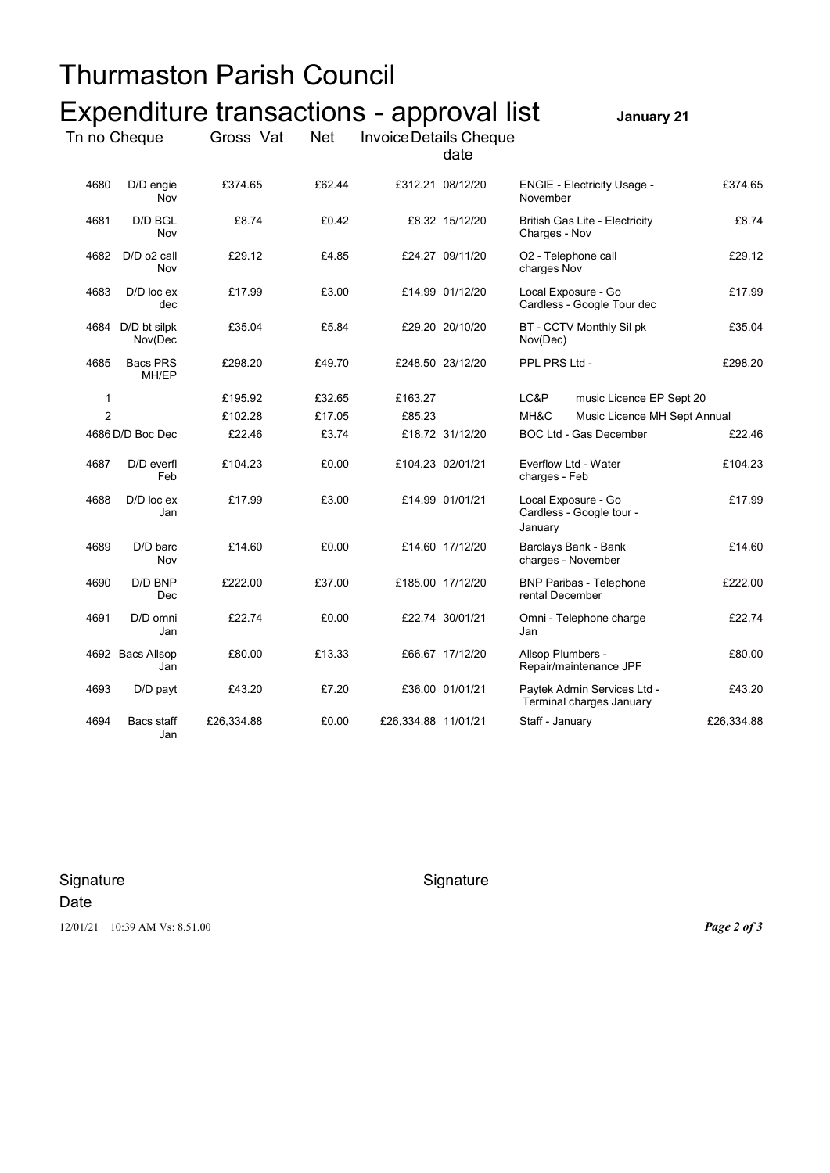| Thurmaston Parish Council |                              |                                                       |            |                               |                  |                                                            |                              |            |
|---------------------------|------------------------------|-------------------------------------------------------|------------|-------------------------------|------------------|------------------------------------------------------------|------------------------------|------------|
| Tn no Cheque              |                              | Expenditure transactions - approval list<br>Gross Vat | <b>Net</b> | <b>Invoice Details Cheque</b> | date             |                                                            | January 21                   |            |
| 4680                      | D/D engie<br>Nov             | £374.65                                               | £62.44     |                               | £312.21 08/12/20 | <b>ENGIE - Electricity Usage -</b><br>November             |                              | £374.65    |
| 4681                      | D/D BGL<br>Nov               | £8.74                                                 | £0.42      |                               | £8.32 15/12/20   | British Gas Lite - Electricity<br>Charges - Nov            |                              | £8.74      |
| 4682                      | D/D o2 call<br>Nov           | £29.12                                                | £4.85      |                               | £24.27 09/11/20  | O2 - Telephone call<br>charges Nov                         |                              | £29.12     |
| 4683                      | D/D loc ex<br>dec            | £17.99                                                | £3.00      |                               | £14.99 01/12/20  | Local Exposure - Go                                        | Cardless - Google Tour dec   | £17.99     |
|                           | 4684 D/D bt silpk<br>Nov(Dec | £35.04                                                | £5.84      |                               | £29.20 20/10/20  | BT - CCTV Monthly Sil pk<br>Nov(Dec)                       |                              | £35.04     |
| 4685                      | Bacs PRS<br>MH/EP            | £298.20                                               | £49.70     |                               | £248.50 23/12/20 | PPL PRS Ltd -                                              |                              | £298.20    |
| 1                         |                              | £195.92                                               | £32.65     | £163.27                       |                  | LC&P                                                       | music Licence EP Sept 20     |            |
| $\overline{2}$            |                              | £102.28                                               | £17.05     | £85.23                        |                  | MH&C                                                       | Music Licence MH Sept Annual |            |
|                           | 4686 D/D Boc Dec             | £22.46                                                | £3.74      |                               | £18.72 31/12/20  | BOC Ltd - Gas December                                     |                              | £22.46     |
| 4687                      | D/D everfl<br>Feb            | £104.23                                               | £0.00      |                               | £104.23 02/01/21 | Everflow Ltd - Water<br>charges - Feb                      |                              | £104.23    |
| 4688                      | $D/D$ loc $ex$<br>Jan        | £17.99                                                | £3.00      |                               | £14.99 01/01/21  | Local Exposure - Go<br>Cardless - Google tour -<br>January |                              | £17.99     |
| 4689                      | D/D barc<br>Nov              | £14.60                                                | £0.00      |                               | £14.60 17/12/20  | Barclays Bank - Bank<br>charges - November                 |                              | £14.60     |
| 4690                      | D/D BNP<br>Dec               | £222.00                                               | £37.00     |                               | £185.00 17/12/20 | <b>BNP Paribas - Telephone</b><br>rental December          |                              | £222.00    |
| 4691                      | D/D omni<br>Jan              | £22.74                                                | £0.00      |                               | £22.74 30/01/21  | Omni - Telephone charge<br>Jan                             |                              | £22.74     |
|                           | 4692 Bacs Allsop<br>Jan      | £80.00                                                | £13.33     |                               | £66.67 17/12/20  | Allsop Plumbers -<br>Repair/maintenance JPF                |                              | £80.00     |
| 4693                      | D/D payt                     | £43.20                                                | £7.20      |                               | £36.00 01/01/21  | Terminal charges January                                   | Paytek Admin Services Ltd -  | £43.20     |
| 4694                      | Bacs staff<br>Jan            | £26,334.88                                            | £0.00      | £26,334.88 11/01/21           |                  | Staff - January                                            |                              | £26,334.88 |

Signature Signature Signature Date 12/01/21 10:39 AM Vs: 8.51.00 *Page 2 of 3*